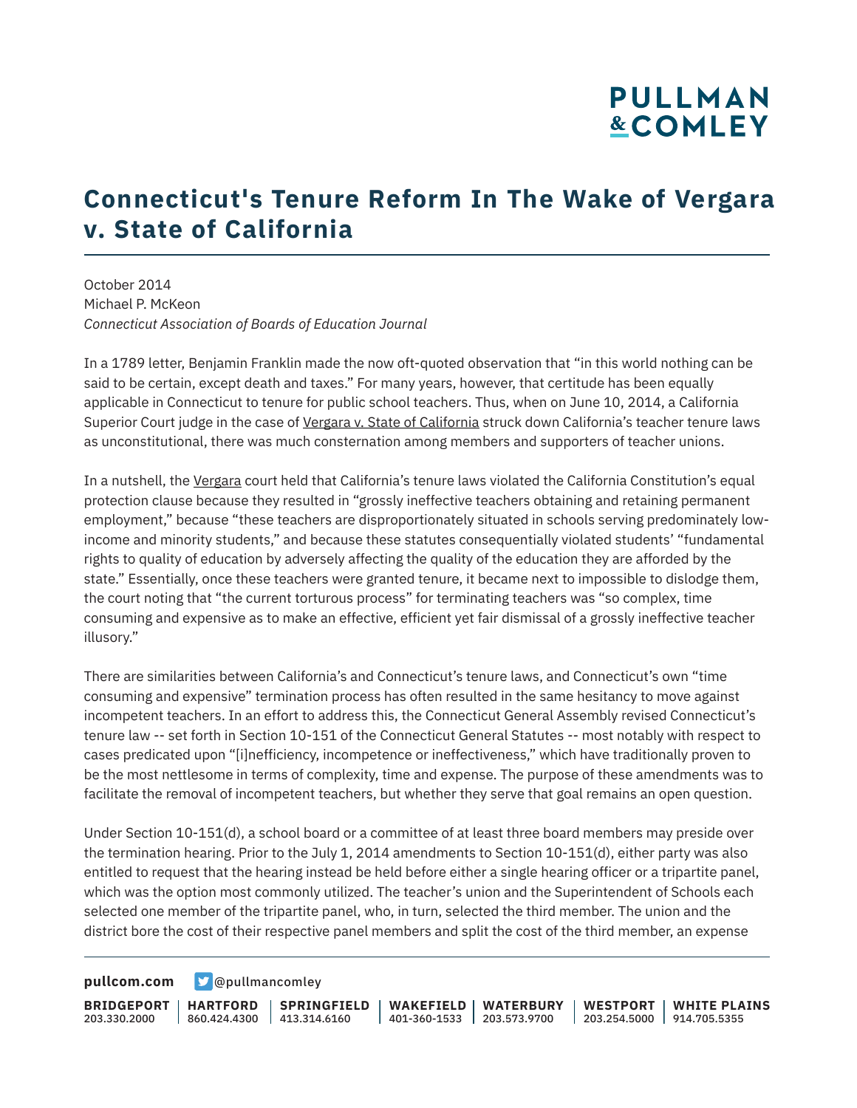# **PULLMAN &COMLEY**

### **Connecticut's Tenure Reform In The Wake of Vergara v. State of California**

October 2014 Michael P. McKeon *Connecticut Association of Boards of Education Journal*

In a 1789 letter, Benjamin Franklin made the now oft-quoted observation that "in this world nothing can be said to be certain, except death and taxes." For many years, however, that certitude has been equally applicable in Connecticut to tenure for public school teachers. Thus, when on June 10, 2014, a California Superior Court judge in the case of Vergara v. State of California struck down California's teacher tenure laws as unconstitutional, there was much consternation among members and supporters of teacher unions.

In a nutshell, the Vergara court held that California's tenure laws violated the California Constitution's equal protection clause because they resulted in "grossly ineffective teachers obtaining and retaining permanent employment," because "these teachers are disproportionately situated in schools serving predominately lowincome and minority students," and because these statutes consequentially violated students' "fundamental rights to quality of education by adversely affecting the quality of the education they are afforded by the state." Essentially, once these teachers were granted tenure, it became next to impossible to dislodge them, the court noting that "the current torturous process" for terminating teachers was "so complex, time consuming and expensive as to make an effective, efficient yet fair dismissal of a grossly ineffective teacher illusory."

There are similarities between California's and Connecticut's tenure laws, and Connecticut's own "time consuming and expensive" termination process has often resulted in the same hesitancy to move against incompetent teachers. In an effort to address this, the Connecticut General Assembly revised Connecticut's tenure law -- set forth in Section 10-151 of the Connecticut General Statutes -- most notably with respect to cases predicated upon "[i]nefficiency, incompetence or ineffectiveness," which have traditionally proven to be the most nettlesome in terms of complexity, time and expense. The purpose of these amendments was to facilitate the removal of incompetent teachers, but whether they serve that goal remains an open question.

Under Section 10-151(d), a school board or a committee of at least three board members may preside over the termination hearing. Prior to the July 1, 2014 amendments to Section 10-151(d), either party was also entitled to request that the hearing instead be held before either a single hearing officer or a tripartite panel, which was the option most commonly utilized. The teacher's union and the Superintendent of Schools each selected one member of the tripartite panel, who, in turn, selected the third member. The union and the district bore the cost of their respective panel members and split the cost of the third member, an expense

**[pullcom.com](https://www.pullcom.com) g** [@pullmancomley](https://twitter.com/PullmanComley)

**BRIDGEPORT HARTFORD** 203.330.2000

860.424.4300 413.314.6160 **SPRINGFIELD** **WAKEFIELD WATERBURY** 401-360-1533 203.573.9700 **WESTPORT WHITE PLAINS**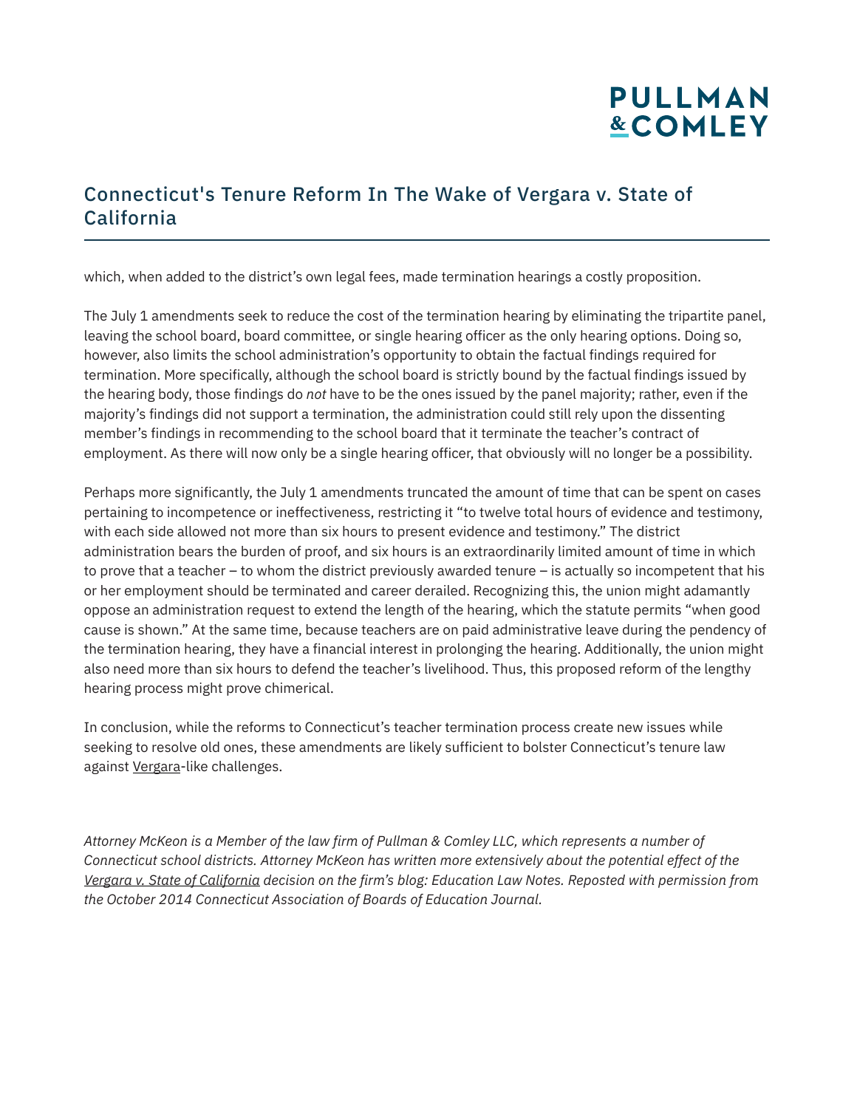## **PULLMAN &COMLEY**

#### Connecticut's Tenure Reform In The Wake of Vergara v. State of California

which, when added to the district's own legal fees, made termination hearings a costly proposition.

The July 1 amendments seek to reduce the cost of the termination hearing by eliminating the tripartite panel, leaving the school board, board committee, or single hearing officer as the only hearing options. Doing so, however, also limits the school administration's opportunity to obtain the factual findings required for termination. More specifically, although the school board is strictly bound by the factual findings issued by the hearing body, those findings do *not* have to be the ones issued by the panel majority; rather, even if the majority's findings did not support a termination, the administration could still rely upon the dissenting member's findings in recommending to the school board that it terminate the teacher's contract of employment. As there will now only be a single hearing officer, that obviously will no longer be a possibility.

Perhaps more significantly, the July 1 amendments truncated the amount of time that can be spent on cases pertaining to incompetence or ineffectiveness, restricting it "to twelve total hours of evidence and testimony, with each side allowed not more than six hours to present evidence and testimony." The district administration bears the burden of proof, and six hours is an extraordinarily limited amount of time in which to prove that a teacher – to whom the district previously awarded tenure – is actually so incompetent that his or her employment should be terminated and career derailed. Recognizing this, the union might adamantly oppose an administration request to extend the length of the hearing, which the statute permits "when good cause is shown." At the same time, because teachers are on paid administrative leave during the pendency of the termination hearing, they have a financial interest in prolonging the hearing. Additionally, the union might also need more than six hours to defend the teacher's livelihood. Thus, this proposed reform of the lengthy hearing process might prove chimerical.

In conclusion, while the reforms to Connecticut's teacher termination process create new issues while seeking to resolve old ones, these amendments are likely sufficient to bolster Connecticut's tenure law against Vergara-like challenges.

*Attorney McKeon is a Member of the law firm of Pullman & Comley LLC, which represents a number of Connecticut school districts. Attorney McKeon has written more extensively about the potential effect of the Vergara v. State of California decision on the firm's blog: Education Law Notes. Reposted with permission from the October 2014 Connecticut Association of Boards of Education Journal.*